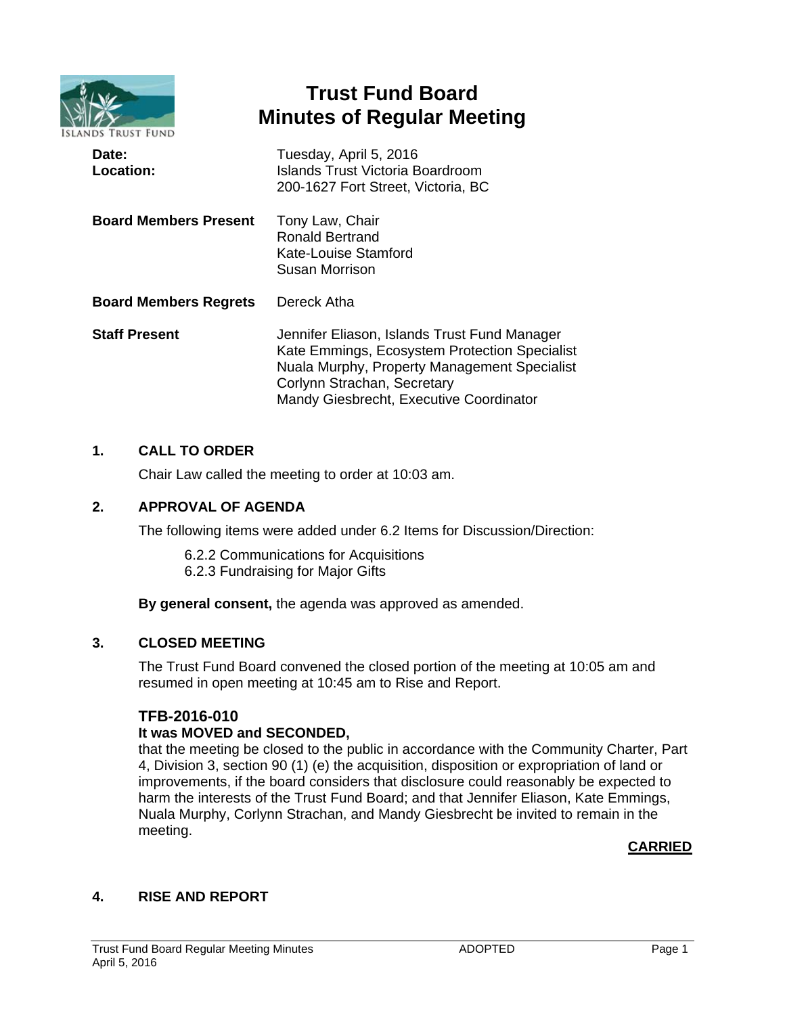

# **Trust Fund Board Minutes of Regular Meeting**

| Date:<br><b>Location:</b>    | Tuesday, April 5, 2016<br><b>Islands Trust Victoria Boardroom</b><br>200-1627 Fort Street, Victoria, BC                                                                                                                 |
|------------------------------|-------------------------------------------------------------------------------------------------------------------------------------------------------------------------------------------------------------------------|
| <b>Board Members Present</b> | Tony Law, Chair<br><b>Ronald Bertrand</b><br>Kate-Louise Stamford<br>Susan Morrison                                                                                                                                     |
| <b>Board Members Regrets</b> | Dereck Atha                                                                                                                                                                                                             |
| <b>Staff Present</b>         | Jennifer Eliason, Islands Trust Fund Manager<br>Kate Emmings, Ecosystem Protection Specialist<br>Nuala Murphy, Property Management Specialist<br>Corlynn Strachan, Secretary<br>Mandy Giesbrecht, Executive Coordinator |

# **1. CALL TO ORDER**

Chair Law called the meeting to order at 10:03 am.

# **2. APPROVAL OF AGENDA**

The following items were added under 6.2 Items for Discussion/Direction:

- 6.2.2 Communications for Acquisitions
- 6.2.3 Fundraising for Major Gifts

**By general consent,** the agenda was approved as amended.

# **3. CLOSED MEETING**

The Trust Fund Board convened the closed portion of the meeting at 10:05 am and resumed in open meeting at 10:45 am to Rise and Report.

# **TFB-2016-010**

# **It was MOVED and SECONDED,**

that the meeting be closed to the public in accordance with the Community Charter, Part 4, Division 3, section 90 (1) (e) the acquisition, disposition or expropriation of land or improvements, if the board considers that disclosure could reasonably be expected to harm the interests of the Trust Fund Board; and that Jennifer Eliason, Kate Emmings, Nuala Murphy, Corlynn Strachan, and Mandy Giesbrecht be invited to remain in the meeting.

# **CARRIED**

# **4. RISE AND REPORT**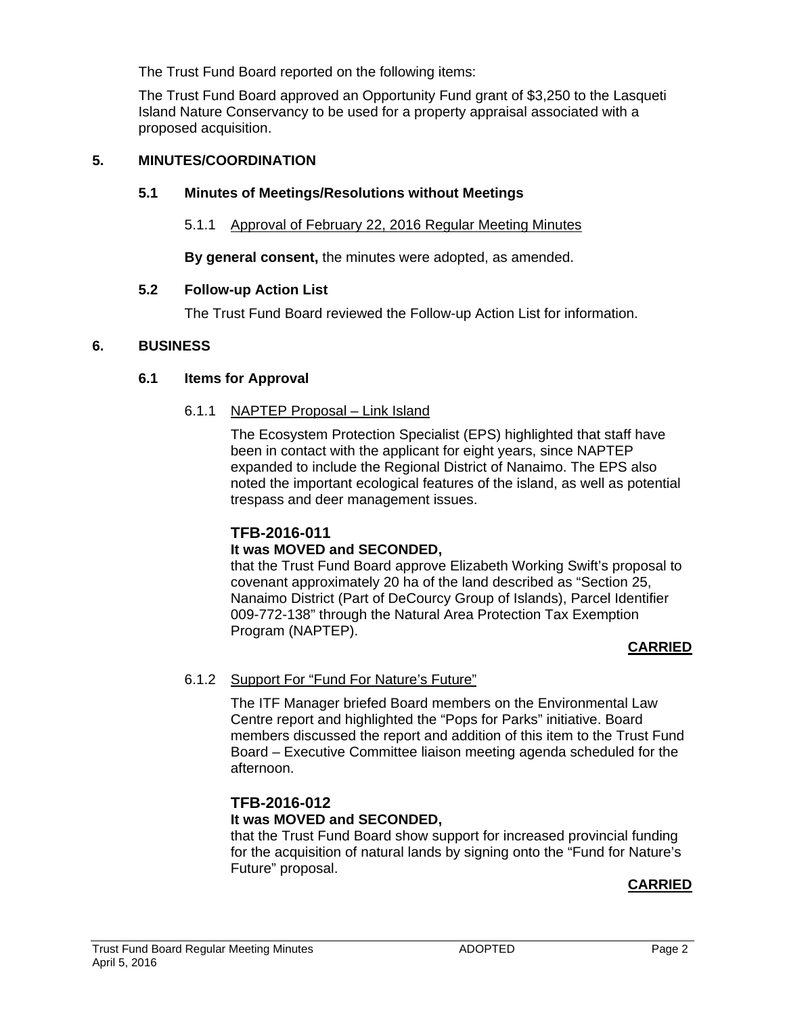The Trust Fund Board reported on the following items:

The Trust Fund Board approved an Opportunity Fund grant of \$3,250 to the Lasqueti Island Nature Conservancy to be used for a property appraisal associated with a proposed acquisition.

### **5. MINUTES/COORDINATION**

### **5.1 Minutes of Meetings/Resolutions without Meetings**

### 5.1.1 Approval of February 22, 2016 Regular Meeting Minutes

**By general consent,** the minutes were adopted, as amended.

### **5.2 Follow-up Action List**

The Trust Fund Board reviewed the Follow-up Action List for information.

### **6. BUSINESS**

### **6.1 Items for Approval**

### 6.1.1 NAPTEP Proposal – Link Island

The Ecosystem Protection Specialist (EPS) highlighted that staff have been in contact with the applicant for eight years, since NAPTEP expanded to include the Regional District of Nanaimo. The EPS also noted the important ecological features of the island, as well as potential trespass and deer management issues.

# **TFB-2016-011**

# **It was MOVED and SECONDED,**

that the Trust Fund Board approve Elizabeth Working Swift's proposal to covenant approximately 20 ha of the land described as "Section 25, Nanaimo District (Part of DeCourcy Group of Islands), Parcel Identifier 009-772-138" through the Natural Area Protection Tax Exemption Program (NAPTEP).

# **CARRIED**

# 6.1.2 Support For "Fund For Nature's Future"

The ITF Manager briefed Board members on the Environmental Law Centre report and highlighted the "Pops for Parks" initiative. Board members discussed the report and addition of this item to the Trust Fund Board – Executive Committee liaison meeting agenda scheduled for the afternoon.

### **TFB-2016-012 It was MOVED and SECONDED,**

that the Trust Fund Board show support for increased provincial funding for the acquisition of natural lands by signing onto the "Fund for Nature's Future" proposal.

# **CARRIED**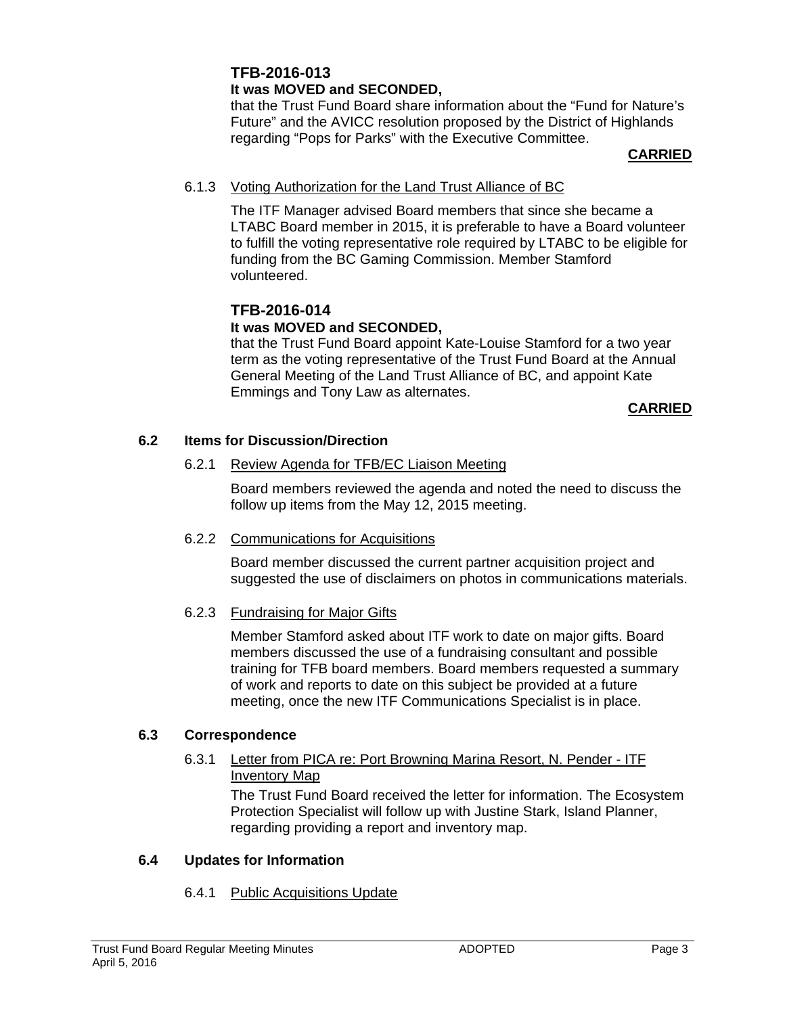# **TFB-2016-013 It was MOVED and SECONDED,**

that the Trust Fund Board share information about the "Fund for Nature's Future" and the AVICC resolution proposed by the District of Highlands regarding "Pops for Parks" with the Executive Committee.

### **CARRIED**

### 6.1.3 Voting Authorization for the Land Trust Alliance of BC

The ITF Manager advised Board members that since she became a LTABC Board member in 2015, it is preferable to have a Board volunteer to fulfill the voting representative role required by LTABC to be eligible for funding from the BC Gaming Commission. Member Stamford volunteered.

# **TFB-2016-014**

# **It was MOVED and SECONDED,**

that the Trust Fund Board appoint Kate-Louise Stamford for a two year term as the voting representative of the Trust Fund Board at the Annual General Meeting of the Land Trust Alliance of BC, and appoint Kate Emmings and Tony Law as alternates.

### **CARRIED**

# **6.2 Items for Discussion/Direction**

# 6.2.1 Review Agenda for TFB/EC Liaison Meeting

Board members reviewed the agenda and noted the need to discuss the follow up items from the May 12, 2015 meeting.

# 6.2.2 Communications for Acquisitions

Board member discussed the current partner acquisition project and suggested the use of disclaimers on photos in communications materials.

# 6.2.3 Fundraising for Major Gifts

Member Stamford asked about ITF work to date on major gifts. Board members discussed the use of a fundraising consultant and possible training for TFB board members. Board members requested a summary of work and reports to date on this subject be provided at a future meeting, once the new ITF Communications Specialist is in place.

# **6.3 Correspondence**

### 6.3.1 Letter from PICA re: Port Browning Marina Resort, N. Pender - ITF Inventory Map

The Trust Fund Board received the letter for information. The Ecosystem Protection Specialist will follow up with Justine Stark, Island Planner, regarding providing a report and inventory map.

# **6.4 Updates for Information**

# 6.4.1 Public Acquisitions Update